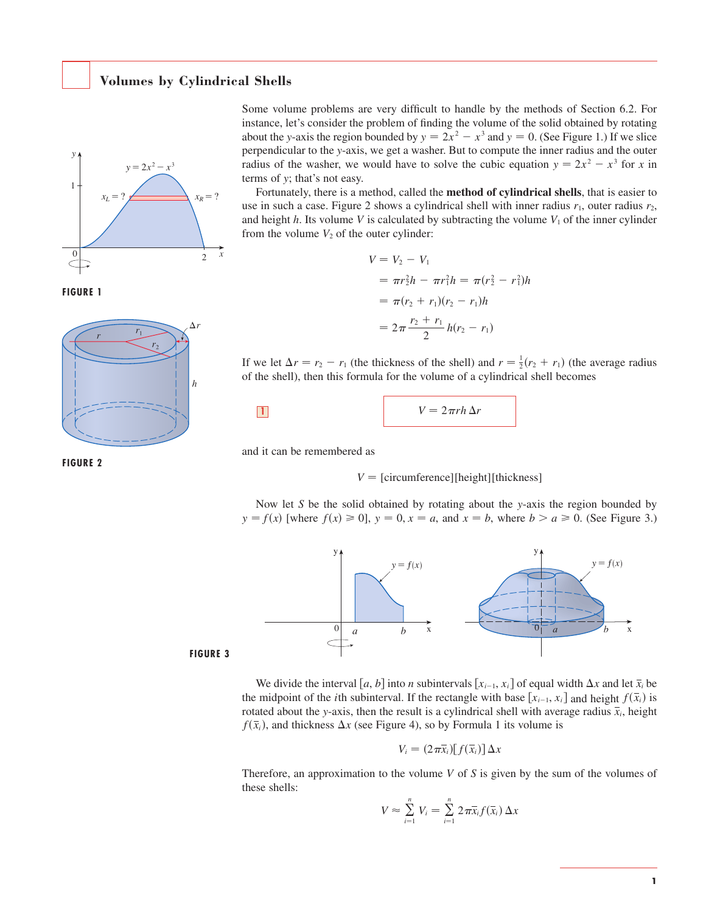## **Volumes by Cylindrical Shells**





**FIGURE 2**



Some volume problems are very difficult to handle by the methods of Section 6.2. For instance, let's consider the problem of finding the volume of the solid obtained by rotating about the *y*-axis the region bounded by  $y = 2x^2 - x^3$  and  $y = 0$ . (See Figure 1.) If we slice perpendicular to the *y*-axis, we get a washer. But to compute the inner radius and the outer perpendicular to the y-axis, we get a washer. But to compute the finite radius and the other radius of the washer, we would have to solve the cubic equation  $y = 2x^2 - x^3$  for *x* in terms of *y*; that's not easy.

Fortunately, there is a method, called the **method of cylindrical shells**, that is easier to use in such a case. Figure 2 shows a cylindrical shell with inner radius  $r_1$ , outer radius  $r_2$ , and height h. Its volume V is calculated by subtracting the volume  $V_1$  of the inner cylinder from the volume  $V_2$  of the outer cylinder:

$$
V = V_2 - V_1
$$
  
=  $\pi r_2^2 h - \pi r_1^2 h = \pi (r_2^2 - r_1^2) h$   
=  $\pi (r_2 + r_1)(r_2 - r_1) h$   
=  $2\pi \frac{r_2 + r_1}{2} h(r_2 - r_1)$ 

If we let  $\Delta r = r_2 - r_1$  (the thickness of the shell) and  $r = \frac{1}{2}(r_2 + r_1)$  (the average radius of the shell), then this formula for the volume of a cylindrical shell becomes

$$
V = 2\pi rh \Delta r
$$

and it can be remembered as

 $V = [circumference][height][thickness]$ 

Now let S be the solid obtained by rotating about the y-axis the region bounded by Frow let 5 be the solid obtained by folding about the y-axis the region bounded by  $y = f(x)$  [where  $f(x) \ge 0$ ],  $y = 0$ ,  $x = a$ , and  $x = b$ , where  $b > a \ge 0$ . (See Figure 3.)



**FIGURE 3**

We divide the interval [a, b] into *n* subintervals [ $x_{i-1}$ ,  $x_i$ ] of equal width  $\Delta x$  and let  $\overline{x}_i$  be the midpoint of the *i*th subinterval. If the rectangle with base  $[x_{i-1}, x_i]$  and height  $f(\overline{x}_i)$  is rotated about the *y*-axis, then the result is a cylindrical shell with average radius  $\bar{x}_i$ , height  $f(\bar{x}_i)$ , and thickness  $\Delta x$  (see Figure 4), so by Formula 1 its volume is

$$
V_i = (2\pi \bar{x}_i)[f(\bar{x}_i)] \Delta x
$$

Therefore, an approximation to the volume  $V$  of  $S$  is given by the sum of the volumes of these shells:

$$
V \approx \sum_{i=1}^n V_i = \sum_{i=1}^n 2\pi \bar{x}_i f(\bar{x}_i) \Delta x
$$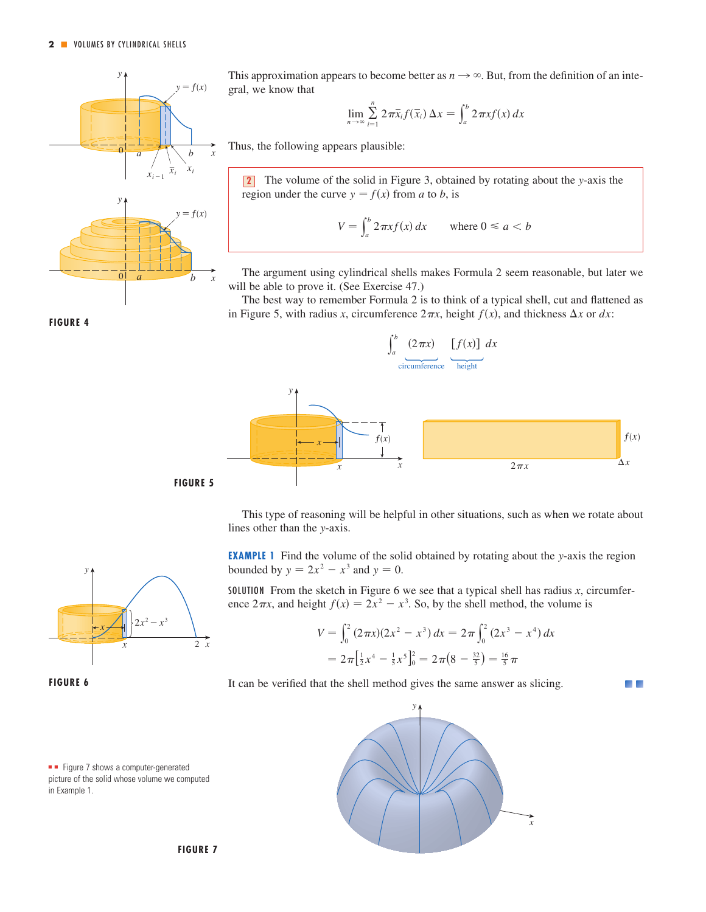

This approximation appears to become better as  $n \rightarrow \infty$ . But, from the definition of an integral, we know that

$$
\lim_{n\to\infty}\sum_{i=1}^n 2\pi\bar{x}_i f(\bar{x}_i) \Delta x = \int_a^b 2\pi x f(x) dx
$$

Thus, the following appears plausible:

The volume of the solid in Figure 3, obtained by rotating about the *y*-axis the Figure 5, obtain the curve  $y = f(x)$  from *a* to *b*, is **2**

$$
V = \int_{a}^{b} 2\pi x f(x) dx \quad \text{where } 0 \le a < b
$$

The argument using cylindrical shells makes Formula 2 seem reasonable, but later we will be able to prove it. (See Exercise 47.)

The best way to remember Formula 2 is to think of a typical shell, cut and flattened as in Figure 5, with radius *x*, circumference  $2\pi x$ , height  $f(x)$ , and thickness  $\Delta x$  or  $dx$ :



This type of reasoning will be helpful in other situations, such as when we rotate about lines other than the *y*-axis.

**EXAMPLE 1** Find the volume of the solid obtained by rotating about the y-axis the region **bounded** by  $y = 2x^2 - x^3$  and  $y = 0$ .

SOLUTION From the sketch in Figure 6 we see that a typical shell has radius  $x$ , circumfer-From the sketch in Figure 6 we see that a typical shell has radius x, corrected  $2\pi x$ , and height  $f(x) = 2x^2 - x^3$ . So, by the shell method, the volume is

$$
V = \int_0^2 (2\pi x)(2x^2 - x^3) dx = 2\pi \int_0^2 (2x^3 - x^4) dx
$$
  
=  $2\pi \left[\frac{1}{2}x^4 - \frac{1}{5}x^5\right]_0^2 = 2\pi (8 - \frac{32}{5}) = \frac{16}{5}\pi$ 

It can be verified that the shell method gives the same answer as slicing.



x



 $\mathbf{v}$ x 2  $2x^2 - x^3$ x x

**FIGURE 6**

**FIGURE 4**

■ ■ Figure 7 shows a computer-generated picture of the solid whose volume we computed in Example 1.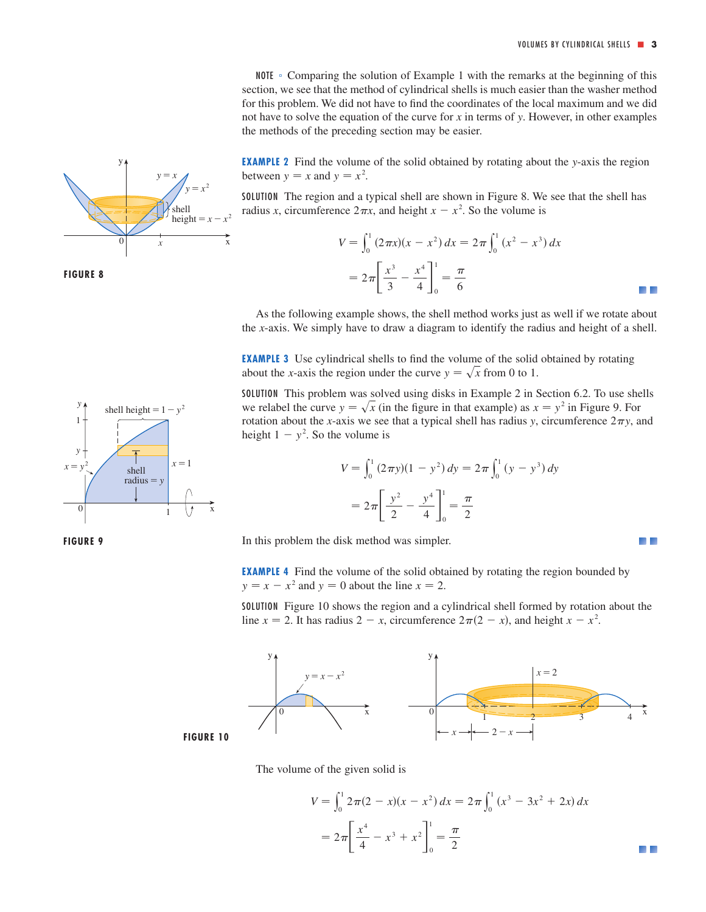- 44

NOTE • Comparing the solution of Example 1 with the remarks at the beginning of this section, we see that the method of cylindrical shells is much easier than the washer method for this problem. We did not have to find the coordinates of the local maximum and we did not have to solve the equation of the curve for x in terms of y. However, in other examples the methods of the preceding section may be easier.

**EXAMPLE 2** Find the volume of the solid obtained by rotating about the y-axis the region between  $y = x$  and  $y = x^2$ .

SOLUTION The region and a typical shell are shown in Figure 8. We see that the shell has radius *x*, circumference  $2\pi x$ , and height  $x - x^2$ . So the volume is

$$
V = \int_0^1 (2\pi x)(x - x^2) dx = 2\pi \int_0^1 (x^2 - x^3) dx
$$
  
=  $2\pi \left[ \frac{x^3}{3} - \frac{x^4}{4} \right]_0^1 = \frac{\pi}{6}$ 

As the following example shows, the shell method works just as well if we rotate about the *x*-axis. We simply have to draw a diagram to identify the radius and height of a shell.

**EXAMPLE 3** Use cylindrical shells to find the volume of the solid obtained by rotating about the *x*-axis the region under the curve  $y = \sqrt{x}$  from 0 to 1.

SOLUTION This problem was solved using disks in Example 2 in Section 6.2. To use shells we relabel the curve  $y = \sqrt{x}$  (in the figure in that example) as  $x = y^2$  in Figure 9. For rotation about the *x*-axis we see that a typical shell has radius *y*, circumference  $2\pi y$ , and height  $1 - y^2$ . So the volume is

$$
V = \int_0^1 (2\pi y)(1 - y^2) dy = 2\pi \int_0^1 (y - y^3) dy
$$

$$
= 2\pi \left[ \frac{y^2}{2} - \frac{y^4}{4} \right]_0^1 = \frac{\pi}{2}
$$

In this problem the disk method was simpler.

**EXAMPLE 4** Find the volume of the solid obtained by rotating the region bounded by  $y = x - x^2$  and  $y = 0$  about the line  $x = 2$ .

SOLUTION Figure 10 shows the region and a cylindrical shell formed by rotation about the line  $x = 2$ . It has radius  $2 - x$ , circumference  $2\pi(2 - x)$ , and height  $x - x^2$ .





The volume of the given solid is

$$
V = \int_0^1 2\pi (2 - x)(x - x^2) dx = 2\pi \int_0^1 (x^3 - 3x^2 + 2x) dx
$$
  
=  $2\pi \left[ \frac{x^4}{4} - x^3 + x^2 \right]_0^1 = \frac{\pi}{2}$ 







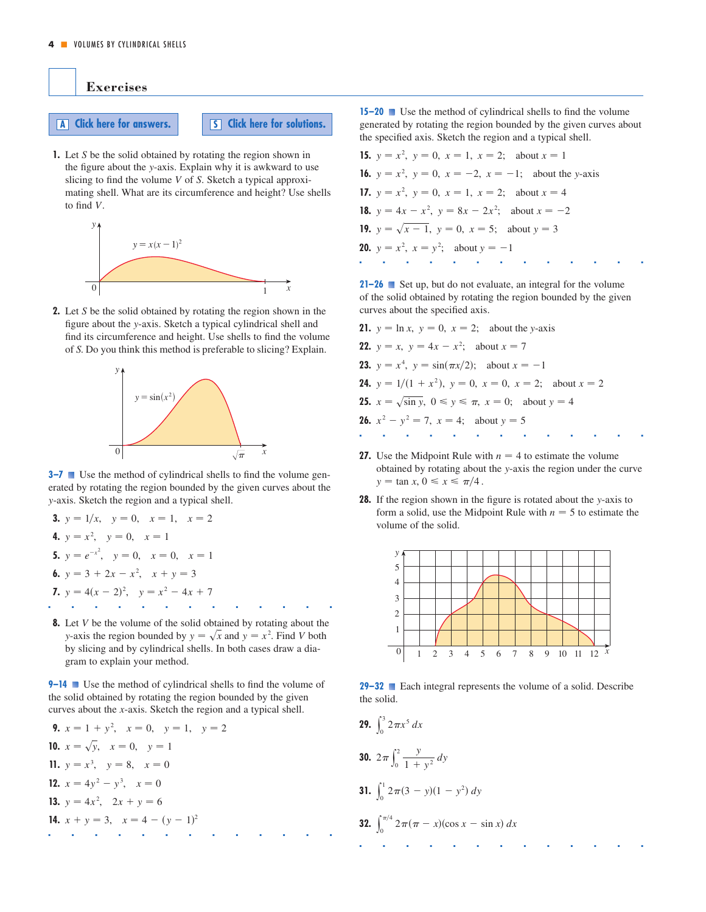

**1.** Let *S* be the solid obtained by rotating the region shown in the figure about the y-axis. Explain why it is awkward to use slicing to find the volume V of S. Sketch a typical approximating shell. What are its circumference and height? Use shells to find  $V$ .



**2.** Let S be the solid obtained by rotating the region shown in the figure about the y-axis. Sketch a typical cylindrical shell and find its circumference and height. Use shells to find the volume of . Do you think this method is preferable to slicing? Explain. *S*



**3–7** ■ Use the method of cylindrical shells to find the volume generated by rotating the region bounded by the given curves about the -axis. Sketch the region and a typical shell. *y*

**3.** 
$$
y = 1/x
$$
,  $y = 0$ ,  $x = 1$ ,  $x = 2$   
\n**4.**  $y = x^2$ ,  $y = 0$ ,  $x = 1$   
\n**5.**  $y = e^{-x^2}$ ,  $y = 0$ ,  $x = 0$ ,  $x = 1$   
\n**6.**  $y = 3 + 2x - x^2$ ,  $x + y = 3$   
\n**7.**  $y = 4(x - 2)^2$ ,  $y = x^2 - 4x + 7$ 

**8.** Let V be the volume of the solid obtained by rotating about the *y*-axis the region bounded by  $y = \sqrt{x}$  and  $y = x^2$ . Find V both by slicing and by cylindrical shells. In both cases draw a diagram to explain your method.

■■■■■■■■■■■■■

**9–14** Use the method of cylindrical shells to find the volume of the solid obtained by rotating the region bounded by the given curves about the *x*-axis. Sketch the region and a typical shell.

**9.** 
$$
x = 1 + y^2
$$
,  $x = 0$ ,  $y = 1$ ,  $y = 2$   
\n**10.**  $x = \sqrt{y}$ ,  $x = 0$ ,  $y = 1$   
\n**11.**  $y = x^3$ ,  $y = 8$ ,  $x = 0$   
\n**12.**  $x = 4y^2 - y^3$ ,  $x = 0$   
\n**13.**  $y = 4x^2$ ,  $2x + y = 6$   
\n**14.**  $x + y = 3$ ,  $x = 4 - (y - 1)^2$ 

**15–20** ■ Use the method of cylindrical shells to find the volume generated by rotating the region bounded by the given curves about the specified axis. Sketch the region and a typical shell.

**15.**  $y = x^2$ ,  $y = 0$ ,  $x = 1$ ,  $x = 2$ ; about  $x = 1$ **16.**  $y = x^2$ ,  $y = 0$ ,  $x = -2$ ,  $x = -1$ ; about the y-axis **17.**  $y = x^2$ ,  $y = 0$ ,  $x = 1$ ,  $x = 2$ ; about  $x = 4$ **18.**  $y = 4x - x^2$ ,  $y = 8x - 2x^2$ ; about  $x = -2$ **19.**  $y = \sqrt{x-1}$ ,  $y = 0$ ,  $x = 5$ ; about  $y = 3$ **20.**  $y = x^2$ ,  $x = y^2$ ; about  $y = -1$ ■■■■■■■■■■■■■

**21–26** ■ Set up, but do not evaluate, an integral for the volume of the solid obtained by rotating the region bounded by the given curves about the specified axis.

- **21.**  $y = \ln x$ ,  $y = 0$ ,  $x = 2$ ; about the *y*-axis **22.**  $y = x$ ,  $y = 4x - x^2$ ; about  $x = 7$ **23.**  $y = x^4$ ,  $y = \sin(\pi x/2)$ ; about  $x = -1$ **24.**  $y = 1/(1 + x^2)$ ,  $y = 0$ ,  $x = 0$ ,  $x = 2$ ; about  $x = 2$ **25.**  $x = \sqrt{\sin y}$ ,  $0 \le y \le \pi$ ,  $x = 0$ ; about  $y = 4$ **26.**  $x^2 - y^2 = 7$ ,  $x = 4$ ; about  $y = 5$ ■■■■■■■■■■■■■
- **27.** Use the Midpoint Rule with  $n = 4$  to estimate the volume obtained by rotating about the y-axis the region under the curve botained by following about<br> $y = \tan x, 0 \le x \le \pi/4$ .
- **28.** If the region shown in the figure is rotated about the y-axis to form a solid, use the Midpoint Rule with  $n = 5$  to estimate the volume of the solid.



**29–32** ■ Each integral represents the volume of a solid. Describe the solid.

**29.**  $\int_{0}^{3}$ **30.**  $2\pi \int_0^2$ **31.**  $\int_{0}^{1}$ **32.**  $\int_{0}^{\pi/4}$ ■■■■■■■■■■■■■  $\int_0^{x/2} 2\pi(\pi - x)(\cos x - \sin x) dx$  $\int_0^1 2\pi(3-y)(1-y^2) dy$ 0  $\frac{y}{1+y^2}$  *dy*  $\int_{0}^{3} 2\pi x^{5} dx$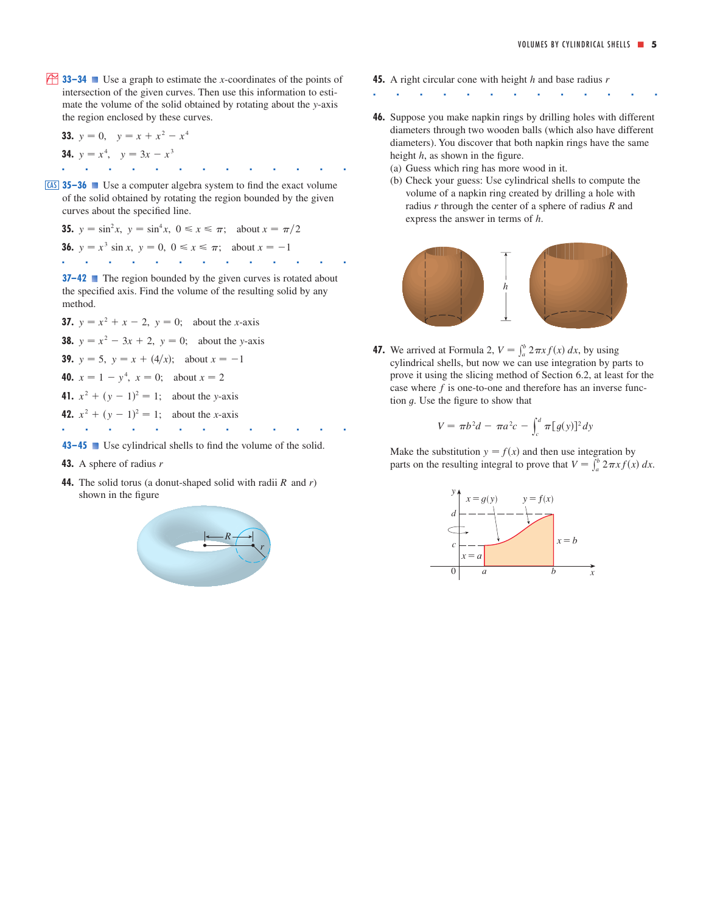**33–34** Use a graph to estimate the *x*-coordinates of the points of intersection of the given curves. Then use this information to estimate the volume of the solid obtained by rotating about the y-axis the region enclosed by these curves.

**33.** 
$$
y = 0
$$
,  $y = x + x^2 - x^4$   
\n**34.**  $y = x^4$ ,  $y = 3x - x^3$ 

**35–36** Use a computer algebra system to find the exact volume CAS of the solid obtained by rotating the region bounded by the given curves about the specified line.

**35.** 
$$
y = \sin^2 x
$$
,  $y = \sin^4 x$ ,  $0 \le x \le \pi$ ; about  $x = \pi/2$ 

**36.**  $y = x^3 \sin x$ ,  $y = 0$ ,  $0 \le x \le \pi$ ; about  $x = -1$ 

■■■■■■■■■■■■■

**37–42** ■ The region bounded by the given curves is rotated about the specified axis. Find the volume of the resulting solid by any method.

- **37.**  $y = x^2 + x 2$ ,  $y = 0$ ; about the *x*-axis
- **38.**  $y = x^2 3x + 2$ ,  $y = 0$ ; about the y-axis
- **39.**  $y = 5$ ,  $y = x + (4/x)$ ; about  $x = -1$

**40.**  $x = 1 - y^4$ ,  $x = 0$ ; about  $x = 2$ 

**41.**  $x^2 + (y - 1)^2 = 1$ ; about the y-axis

**42.**  $x^2 + (y - 1)^2 = 1$ ; about the *x*-axis

**43–45** ■ Use cylindrical shells to find the volume of the solid.

■■■■■■■■■■■■■

- **43.** A sphere of radius *r*
- **44.** The solid torus (a donut-shaped solid with radii  $R$  and  $r$ ) shown in the figure



- *x*-coordinates of the points of **45.** A right circular cone with height h and base radius r
	- ■■■■■■■■■■■■■
	- **46.** Suppose you make napkin rings by drilling holes with different diameters through two wooden balls (which also have different diameters). You discover that both napkin rings have the same height *h*, as shown in the figure.
		- (a) Guess which ring has more wood in it.
		- (b) Check your guess: Use cylindrical shells to compute the volume of a napkin ring created by drilling a hole with radius  $r$  through the center of a sphere of radius  $R$  and express the answer in terms of  $h$ .



**47.** We arrived at Formula 2,  $V = \int_a^b 2\pi x f(x) dx$ , by using cylindrical shells, but now we can use integration by parts to prove it using the slicing method of Section 6.2, at least for the case where  $f$  is one-to-one and therefore has an inverse function  $g$ . Use the figure to show that

$$
V = \pi b^2 d - \pi a^2 c - \int_c^d \pi [g(y)]^2 dy
$$

Make the substitution  $y = f(x)$  and then use integration by where the substitution  $y - f(x)$  and then use integration by parts on the resulting integral to prove that  $V = \int_a^b 2\pi x f(x) dx$ .

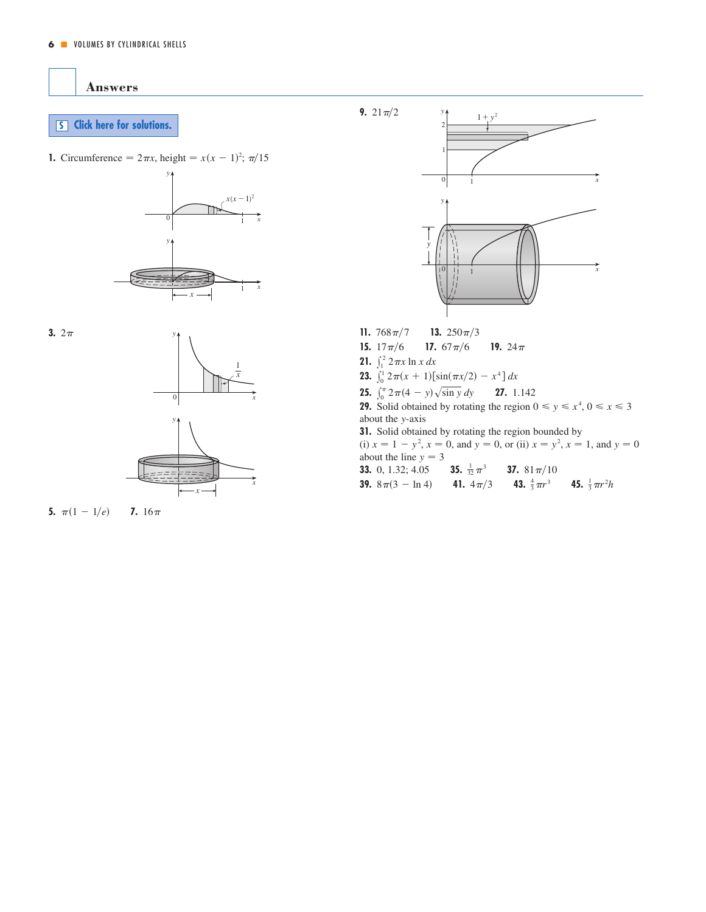<span id="page-5-0"></span>**Answers**

## **S [Click here for solutions.](#page-6-0)**

**1.** Circumference =  $2\pi x$ , height =  $x(x - 1)^2$ ;  $\pi/15$ 







**5.**  $\pi(1 - 1/e)$  **7.**  $16\pi$ 



- **15.**  $17\pi/6$  **17.**  $67\pi/6$  **19.**  $24\pi$ **21.**  $\int_{1}^{2} 2 \pi x \ln x \, dx$ **23.**  $\int_0^1 2\pi(x+1)\left[\sin(\pi x/2) - x^4\right] dx$ 17.  $67\pi/6$
- **25.**  $\int_0^{\pi} 2\pi (4 y) \sqrt{\sin y} dy$  **27.** 1.142

**29.** Solid obtained by rotating the region  $0 \le y \le x^4$ ,  $0 \le x \le 3$ about the y-axis

**31.** Solid obtained by rotating the region bounded by (i)  $x = 1 - y^2$ ,  $x = 0$ , and  $y = 0$ , or (ii)  $x = y^2$ ,  $x = 1$ , and  $y = 0$ 

about the line  $y = 3$ **33.** 0, 1.32; 4.05 **35. 37. 39.**  $8\pi(3 - \ln 4)$  **41.**  $4\pi/3$  **43.**  $\frac{4}{3}\pi r^3$  **45.**  $\frac{1}{3}\pi r^2 h$ 37.  $81\pi/10$ **35.**  $\frac{1}{32} \pi^3$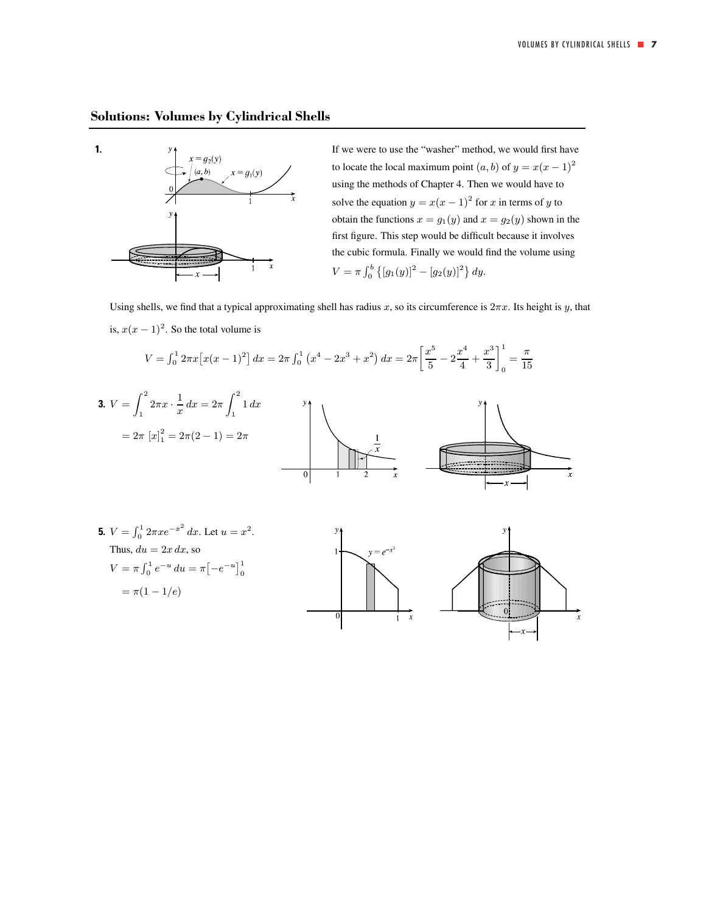## <span id="page-6-0"></span>**Solutions: Volumes by Cylindrical Shells**



**1.** If we were to use the "washer" method, we would first have  $x = g_2(y)$ to locate the local maximum point  $(a, b)$  of  $y = x(x - 1)^2$ using the methods of Chapter 4. Then we would have to solve the equation  $y = x(x - 1)^2$  for x in terms of y to obtain the functions  $x = g_1(y)$  and  $x = g_2(y)$  shown in the first figure. This step would be difficult because it involves the cubic formula. Finally we would find the volume using  $V = \pi \int_0^b \{ [g_1(y)]^2 - [g_2(y)]^2 \} dy.$ 

Using shells, we find that a typical approximating shell has radius x, so its circumference is  $2\pi x$ . Its height is y, that is,  $x(x - 1)^2$ . So the total volume is

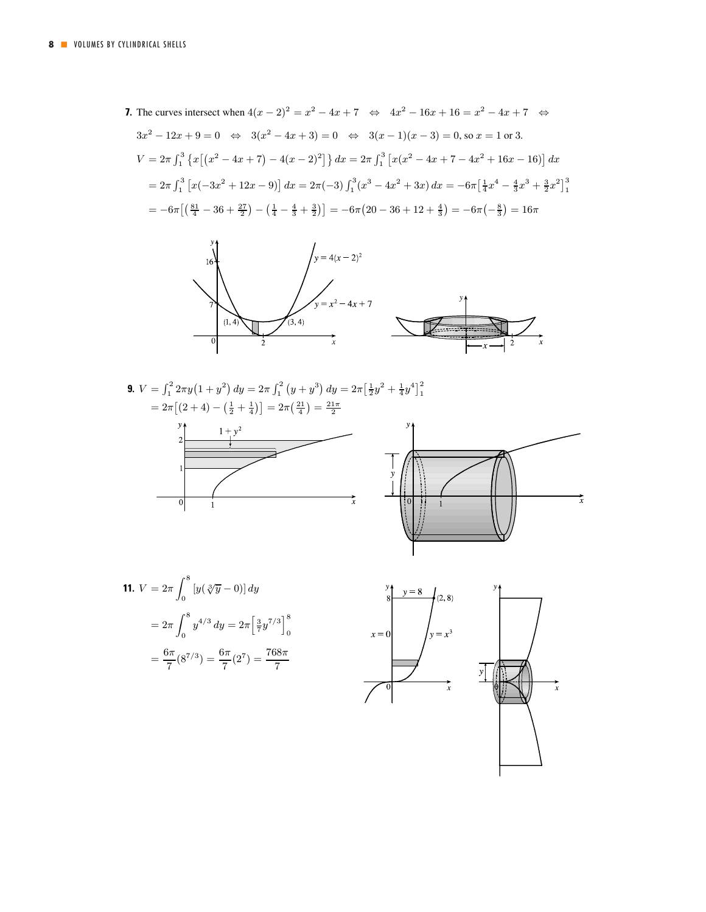**7.** The curves intersect when  $4(x - 2)^2 = x^2 - 4x + 7 \Leftrightarrow 4x^2 - 16x + 16 = x^2 - 4x + 7 \Leftrightarrow$  $3x^2 - 12x + 9 = 0 \Leftrightarrow 3(x^2 - 4x + 3) = 0 \Leftrightarrow 3(x - 1)(x - 3) = 0$ , so  $x = 1$  or 3. V =  $2\pi \int_1^3 \left\{ x \left[ (x^2 - 4x + 7) - 4(x - 2)^2 \right] \right\} dx = 2\pi \int_1^3 \left[ x(x^2 - 4x + 7 - 4x^2 + 16x - 16) \right] dx$  $= 2\pi \int_1^3 \left[ x(-3x^2 + 12x - 9) \right] dx = 2\pi (-3) \int_1^3 (x^3 - 4x^2 + 3x) dx = -6\pi \left[ \frac{1}{4}x^4 - \frac{4}{3}x^3 + \frac{3}{2}x^2 \right]_1^3$  $= -6\pi \left[ \left( \frac{81}{4} - 36 + \frac{27}{2} \right) - \left( \frac{1}{4} - \frac{4}{3} + \frac{3}{2} \right) \right] = -6\pi \left( 20 - 36 + 12 + \frac{4}{3} \right) = -6\pi \left( -\frac{8}{3} \right) = 16\pi$ 



**9.** 
$$
V = \int_1^2 2\pi y (1 + y^2) dy = 2\pi \int_1^2 (y + y^3) dy = 2\pi \left[ \frac{1}{2} y^2 + \frac{1}{4} y^4 \right]_1^2
$$

$$
= 2\pi \left[ (2 + 4) - \left( \frac{1}{2} + \frac{1}{4} \right) \right] = 2\pi \left( \frac{21}{4} \right) = \frac{21\pi}{2}
$$

$$
y \uparrow
$$







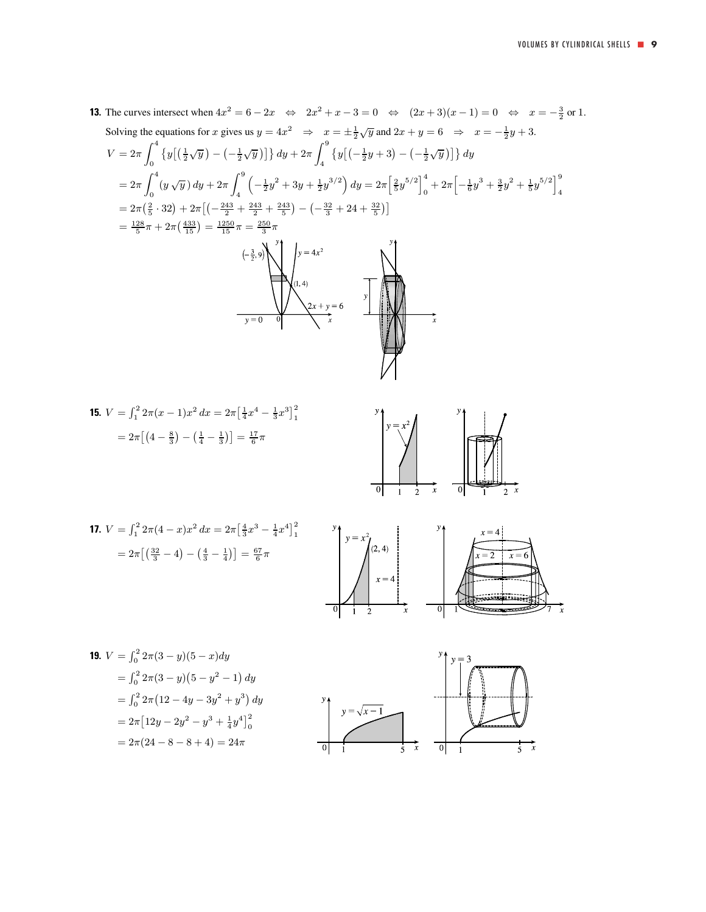**13.** The curves intersect when  $4x^2 = 6 - 2x \Leftrightarrow 2x^2 + x - 3 = 0 \Leftrightarrow (2x + 3)(x - 1) = 0 \Leftrightarrow x = -\frac{3}{2}$  or 1. Solving the equations for x gives us  $y = 4x^2 \Rightarrow x = \pm \frac{1}{2}\sqrt{y}$  and  $2x + y = 6 \Rightarrow x = -\frac{1}{2}y + 3$ .

$$
V = 2\pi \int_0^4 \left\{ y \left[ \left( \frac{1}{2} \sqrt{y} \right) - \left( -\frac{1}{2} \sqrt{y} \right) \right] \right\} dy + 2\pi \int_4^9 \left\{ y \left[ \left( -\frac{1}{2} y + 3 \right) - \left( -\frac{1}{2} \sqrt{y} \right) \right] \right\} dy
$$
  
\n
$$
= 2\pi \int_0^4 (y \sqrt{y}) dy + 2\pi \int_4^9 \left( -\frac{1}{2} y^2 + 3y + \frac{1}{2} y^{3/2} \right) dy = 2\pi \left[ \frac{2}{5} y^{5/2} \right]_0^4 + 2\pi \left[ -\frac{1}{6} y^3 + \frac{3}{2} y^2 + \frac{1}{5} y^{5/2} \right]_4^9
$$
  
\n
$$
= 2\pi \left( \frac{2}{5} \cdot 32 \right) + 2\pi \left[ \left( -\frac{243}{2} + \frac{243}{2} + \frac{243}{5} \right) - \left( -\frac{32}{3} + 24 + \frac{32}{5} \right) \right]
$$
  
\n
$$
= \frac{128}{5} \pi + 2\pi \left( \frac{433}{15} \right) = \frac{1250}{15} \pi = \frac{250}{3} \pi
$$
  
\n
$$
\left( -\frac{3}{2}, 9 \right)
$$
  
\n
$$
\left\{ y = 4x^2 \right\}
$$
  
\n
$$
y = 0
$$
  
\n
$$
y = 0
$$
  
\n
$$
y = 0
$$
  
\n
$$
y = 0
$$
  
\n
$$
y = 0
$$
  
\n
$$
y = 0
$$
  
\n
$$
y = 0
$$
  
\n
$$
y = 0
$$
  
\n
$$
y = 0
$$
  
\n
$$
y = 0
$$
  
\n
$$
y = 0
$$
  
\n
$$
y = 0
$$
  
\n
$$
y = 0
$$
  
\n
$$
y = 0
$$
  
\n
$$
y =
$$

**15.** 
$$
V = \int_1^2 2\pi (x - 1)x^2 dx = 2\pi \left[\frac{1}{4}x^4 - \frac{1}{3}x^3\right]_1^2
$$

$$
= 2\pi \left[\left(4 - \frac{8}{3}\right) - \left(\frac{1}{4} - \frac{1}{3}\right)\right] = \frac{17}{6}\pi
$$



**17.** 
$$
V = \int_1^2 2\pi (4 - x) x^2 dx = 2\pi \left[ \frac{4}{3} x^3 - \frac{1}{4} x^4 \right]_1^2
$$

$$
= 2\pi \left[ \left( \frac{32}{3} - 4 \right) - \left( \frac{4}{3} - \frac{1}{4} \right) \right] = \frac{67}{6} \pi
$$



**19.** 
$$
V = \int_0^2 2\pi (3 - y)(5 - x) dy
$$
  
\n
$$
= \int_0^2 2\pi (3 - y)(5 - y^2 - 1) dy
$$
  
\n
$$
= \int_0^2 2\pi (12 - 4y - 3y^2 + y^3) dy
$$
  
\n
$$
= 2\pi [12y - 2y^2 - y^3 + \frac{1}{4}y^4]_0^2
$$
  
\n
$$
= 2\pi (24 - 8 - 8 + 4) = 24\pi
$$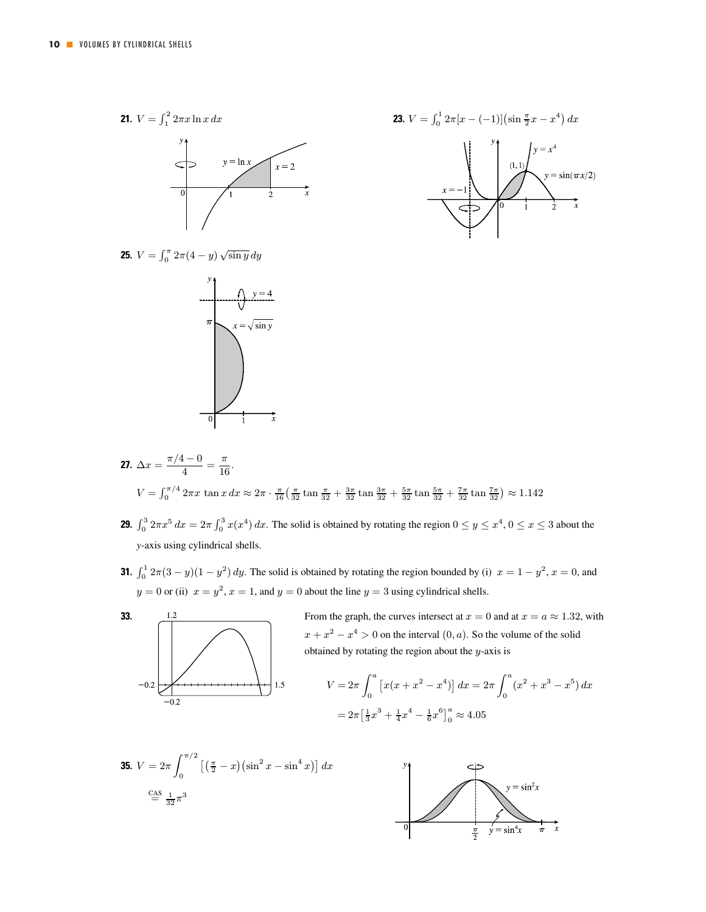



- **27.**  $\Delta x = \frac{\pi/4 0}{4} = \frac{\pi}{16}.$  $V = \int_0^{\pi/4} 2\pi x \tan x \, dx \approx 2\pi \cdot \frac{\pi}{16} \left( \frac{\pi}{32} \tan \frac{\pi}{32} + \frac{3\pi}{32} \tan \frac{3\pi}{32} + \frac{5\pi}{32} \tan \frac{5\pi}{32} + \frac{7\pi}{32} \tan \frac{7\pi}{32} \right) \approx 1.142$
- **29.**  $\int_0^3 2\pi x^5 dx = 2\pi \int_0^3 x(x^4) dx$ . The solid is obtained by rotating the region  $0 \le y \le x^4$ ,  $0 \le x \le 3$  about the *y*-axis using cylindrical shells.
- **31.**  $\int_0^1 2\pi(3-y)(1-y^2) dy$ . The solid is obtained by rotating the region bounded by (i)  $x = 1 y^2$ ,  $x = 0$ , and  $y = 0$  or (ii)  $x = y^2$ ,  $x = 1$ , and  $y = 0$  about the line  $y = 3$  using cylindrical shells.



**33.**  $\frac{1.2}{2}$  From the graph, the curves intersect at  $x = 0$  and at  $x = a \approx 1.32$ , with  $x + x<sup>2</sup> - x<sup>4</sup> > 0$  on the interval  $(0, a)$ . So the volume of the solid obtained by rotating the region about the  $y$ -axis is

$$
V = 2\pi \int_0^a \left[ x(x + x^2 - x^4) \right] dx = 2\pi \int_0^a (x^2 + x^3 - x^5) dx
$$
  
=  $2\pi \left[ \frac{1}{3} x^3 + \frac{1}{4} x^4 - \frac{1}{6} x^6 \right]_0^a \approx 4.05$